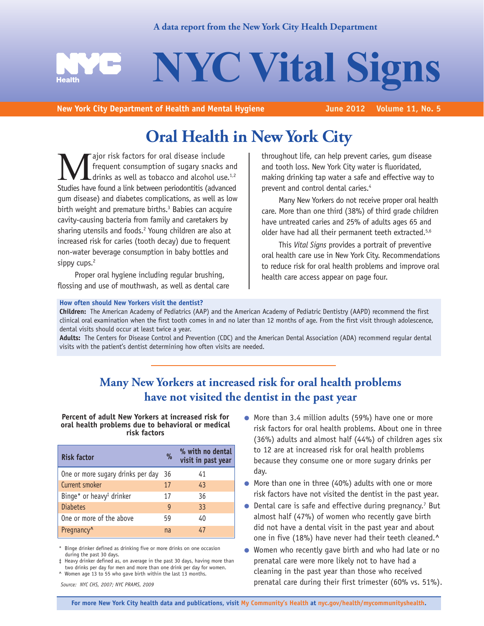# **A data report from the New York City Health Department**



**New York City Department of Health and Mental Hygiene** 

# **Oral Health in New York City**

**Major risk factors for oral disease include**<br>frequent consumption of sugary snacks<br>Studies have found a link between periodontitis (advan frequent consumption of sugary snacks and drinks as well as tobacco and alcohol use.<sup>1,2</sup> Studies have found a link between periodontitis (advanced gum disease) and diabetes complications, as well as low birth weight and premature births.<sup>3</sup> Babies can acquire cavity-causing bacteria from family and caretakers by sharing utensils and foods.<sup>2</sup> Young children are also at increased risk for caries (tooth decay) due to frequent non-water beverage consumption in baby bottles and sippy cups.<sup>2</sup>

Proper oral hygiene including regular brushing, flossing and use of mouthwash, as well as dental care throughout life, can help prevent caries, gum disease and tooth loss. New York City water is fluoridated, making drinking tap water a safe and effective way to prevent and control dental caries.4

Many New Yorkers do not receive proper oral health care. More than one third (38%) of third grade children have untreated caries and 25% of adults ages 65 and older have had all their permanent teeth extracted.<sup>5,6</sup>

This *Vital Signs* provides a portrait of preventive oral health care use in New York City. Recommendations to reduce risk for oral health problems and improve oral health care access appear on page four.

### **How often should New Yorkers visit the dentist?**

**Children:** The American Academy of Pediatrics (AAP) and the American Academy of Pediatric Dentistry (AAPD) recommend the first clinical oral examination when the first tooth comes in and no later than 12 months of age. From the first visit through adolescence, dental visits should occur at least twice a year.

**Adults:** The Centers for Disease Control and Prevention (CDC) and the American Dental Association (ADA) recommend regular dental visits with the patient's dentist determining how often visits are needed.

# **Many New Yorkers at increased risk for oral health problems have not visited the dentist in the past year**

**Percent of adult New Yorkers at increased risk for oral health problems due to behavioral or medical risk factors**

| <b>Risk factor</b>                   | $\%$ | % with no dental<br>visit in past year |
|--------------------------------------|------|----------------------------------------|
| One or more sugary drinks per day    | 36   | 41                                     |
| Current smoker                       | 17   | 43                                     |
| Binge* or heavy <sup>‡</sup> drinker | 17   | 36                                     |
| <b>Diabetes</b>                      | 9    | 33 <sup>3</sup>                        |
| One or more of the above             | 59   | 40                                     |
| Pregnancy <sup>^</sup>               | na   | 47                                     |

\* Binge drinker defined as drinking five or more drinks on one occasion during the past 30 days.

‡ Heavy drinker defined as, on average in the past 30 days, having more than two drinks per day for men and more than one drink per day for women. ^ Women age 13 to 55 who gave birth within the last 13 months.

*Source: NYC CHS, 2007; NYC PRAMS, 2009*

- More than 3.4 million adults (59%) have one or more risk factors for oral health problems. About one in three (36%) adults and almost half (44%) of children ages six to 12 are at increased risk for oral health problems because they consume one or more sugary drinks per day.
- More than one in three (40%) adults with one or more risk factors have not visited the dentist in the past year.
- $\bullet$  Dental care is safe and effective during pregnancy.<sup>7</sup> But almost half (47%) of women who recently gave birth did not have a dental visit in the past year and about one in five (18%) have never had their teeth cleaned.^
- Women who recently gave birth and who had late or no prenatal care were more likely not to have had a cleaning in the past year than those who received prenatal care during their first trimester (60% vs. 51%).

**For more New York City health data and publications, visit My Community's Health at nyc.gov/health/mycommunityshealth.**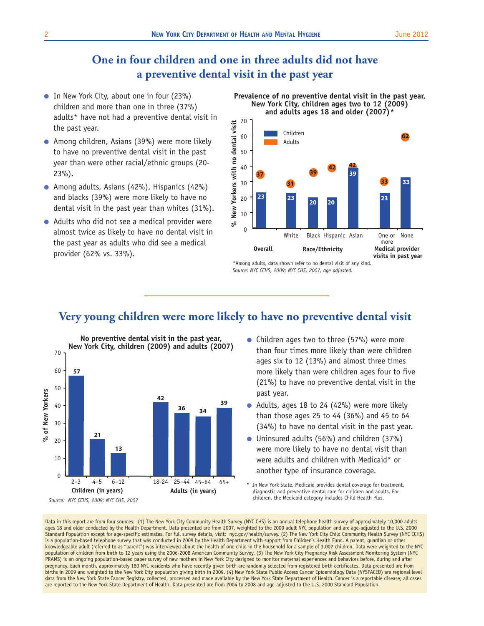# **One in four children and one in three adults did not have a preventive dental visit in the past year**

- In New York City, about one in four (23%) children and more than one in three (37%) adults\* have not had a preventive dental visit in the past year.
- Among children, Asians (39%) were more likely to have no preventive dental visit in the past year than were other racial/ethnic groups (20- 23%).
- Among adults, Asians (42%), Hispanics (42%) and blacks (39%) were more likely to have no dental visit in the past year than whites (31%).
- Adults who did not see a medical provider were almost twice as likely to have no dental visit in the past year as adults who did see a medical provider (62% vs. 33%).

### **Prevalence of no preventive dental visit in the past year, New York City, children ages two to 12 (2009) and adults ages 18 and older (2007)\***



*Source: NYC CCHS, 2009; NYC CHS, 2007, age adjusted.* \*Among adults, data shown refer to no dental visit of any kind.

# **Very young children were more likely to have no preventive dental visit**



- Children ages two to three (57%) were more than four times more likely than were children ages six to 12 (13%) and almost three times more likely than were children ages four to five (21%) to have no preventive dental visit in the past year.
- Adults, ages 18 to 24 (42%) were more likely than those ages 25 to 44 (36%) and 45 to 64 (34%) to have no dental visit in the past year.
- Uninsured adults (56%) and children (37%) were more likely to have no dental visit than were adults and children with Medicaid\* or another type of insurance coverage.

In New York State, Medicaid provides dental coverage for treatment, diagnostic and preventive dental care for children and adults. For children, the Medicaid category includes Child Health Plus.

Data in this report are from four sources: (1) The New York City Community Health Survey (NYC CHS) is an annual telephone health survey of approximately 10,000 adults ages 18 and older conducted by the Health Department. Data presented are from 2007, weighted to the 2000 adult NYC population and are age-adjusted to the U.S. 2000 Standard Population except for age-specific estimates. For full survey details, visit: nyc.gov/health/survey. (2) The New York City Child Community Health Survey (NYC CCHS) is a population-based telephone survey that was conducted in 2009 by the Health Department with support from Children's Health Fund. A parent, quardian or other knowledgeable adult (referred to as "parent") was interviewed about the health of one child in the household for a sample of 3,002 children. Data were weighted to the NYC population of children from birth to 12 years using the 2006-2008 American Community Survey. (3) The New York City Pregnancy Risk Assessment Monitoring System (NYC PRAMS) is an ongoing population-based paper survey of new mothers in New York City designed to monitor maternal experiences and behaviors before, during and after pregnancy. Each month, approximately 180 NYC residents who have recently given birth are randomly selected from registered birth certificates. Data presented are from births in 2009 and weighted to the New York City population giving birth in 2009. (4) New York State Public Access Cancer Epidemiology Data (NYSPACED) are regional level data from the New York State Cancer Registry, collected, processed and made available by the New York State Department of Health. Cancer is a reportable disease; all cases are reported to the New York State Department of Health. Data presented are from 2004 to 2008 and age-adjusted to the U.S. 2000 Standard Population.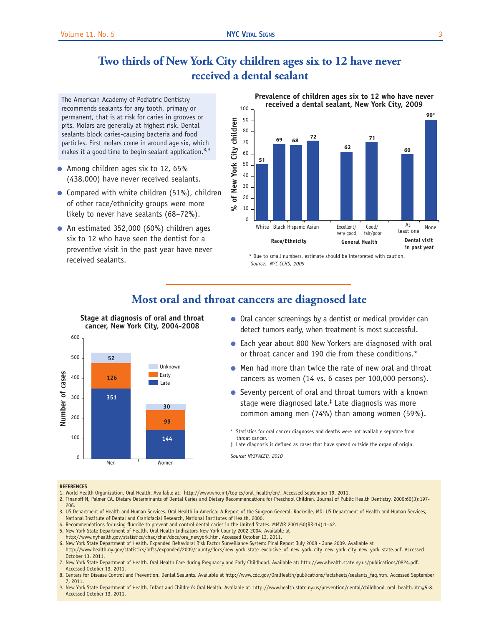# **Two thirds of New York City children ages six to 12 have never received a dental sealant**

The American Academy of Pediatric Dentistry recommends sealants for any tooth, primary or permanent, that is at risk for caries in grooves or pits. Molars are generally at highest risk. Dental sealants block caries-causing bacteria and food particles. First molars come in around age six, which makes it a good time to begin sealant application.<sup>8,9</sup>

- Among children ages six to 12, 65% (438,000) have never received sealants.
- Compared with white children (51%), children of other race/ethnicity groups were more likely to never have sealants (68–72%).
- An estimated 352,000 (60%) children ages six to 12 who have seen the dentist for a preventive visit in the past year have never received sealants.

**Stage at diagnosis of oral and throat**

20 30 40 50 60 70 80 90 100 **51 69 68 72 <sup>62</sup> <sup>60</sup> 71 90\***





*Source: NYC CCHS, 2009* \* Due to small numbers, estimate should be interpreted with caution.



- Oral cancer screenings by a dentist or medical provider can detect tumors early, when treatment is most successful.
- Each year about 800 New Yorkers are diagnosed with oral or throat cancer and 190 die from these conditions.\*
- Men had more than twice the rate of new oral and throat cancers as women (14 vs. 6 cases per 100,000 persons).
- Seventy percent of oral and throat tumors with a known stage were diagnosed late.‡ Late diagnosis was more common among men (74%) than among women (59%).
- \* Statistics for oral cancer diagnoses and deaths were not available separate from throat cancer.
- ‡ Late diagnosis is defined as cases that have spread outside the organ of origin.

*Source: NYSPACED, 2010*

### **REFERENCES**

- 1. World Health Organization. Oral Health. Available at: http://www.who.int/topics/oral\_health/en/. Accessed September 19, 2011.
- 2. Tinanoff N, Palmer CA. Dietary Determinants of Dental Caries and Dietary Recommendations for Preschool Children. Journal of Public Health Dentistry. 2000;60(3):197- 206.
- 3. US Department of Health and Human Services. Oral Health in America: A Report of the Surgeon General. Rockville, MD: US Department of Health and Human Services, National Institute of Dental and Craniofacial Research, National Institutes of Health, 2000.
- 4. Recommendations for using fluoride to prevent and control dental caries in the United States. MMWR 2001;50(RR-14):1–42.
- 5. New York State Department of Health. Oral Health Indicators-New York County 2002-2004. Available at
- http://www.nyhealth.gov/statistics/chac/chai/docs/ora\_newyork.htm. Accessed October 13, 2011.
- 6. New York State Department of Health. Expanded Behavioral Risk Factor Surveillance System: Final Report July 2008 June 2009. Available at
- http://www.health.ny.gov/statistics/brfss/expanded/2009/county/docs/new\_york\_state\_exclusive\_of\_new\_york\_city\_new\_york\_city\_new\_york\_state.pdf. Accessed October 13, 2011.
- 7. New York State Department of Health. Oral Health Care during Pregnancy and Early Childhood. Available at: http://www.health.state.ny.us/publications/0824.pdf. Accessed October 13, 2011.
- 8. Centers for Disease Control and Prevention. Dental Sealants. Available at http://www.cdc.gov/OralHealth/publications/factsheets/sealants\_faq.htm. Accessed September 7, 2011.
- 9. New York State Department of Health. Infant and Children's Oral Health. Available at: http://www.health.state.ny.us/prevention/dental/childhood\_oral\_health.htm#5-8. Accessed October 13, 2011.